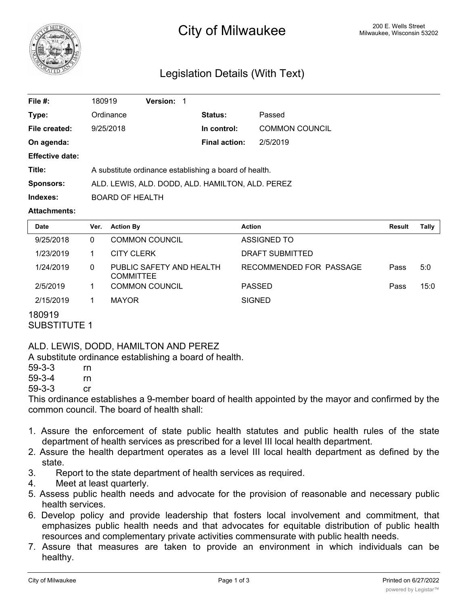

# <sup>200 E.</sup> Wells Street **City of Milwaukee** Milwaukee, Wisconsin 53202

# Legislation Details (With Text)

| File #:                | 180919                                                 | <b>Version: 1</b> |                      |                       |  |
|------------------------|--------------------------------------------------------|-------------------|----------------------|-----------------------|--|
| Type:                  | Ordinance                                              |                   | <b>Status:</b>       | Passed                |  |
| File created:          | 9/25/2018                                              |                   | In control:          | <b>COMMON COUNCIL</b> |  |
| On agenda:             |                                                        |                   | <b>Final action:</b> | 2/5/2019              |  |
| <b>Effective date:</b> |                                                        |                   |                      |                       |  |
| Title:                 | A substitute ordinance establishing a board of health. |                   |                      |                       |  |
| Sponsors:              | ALD. LEWIS, ALD. DODD, ALD. HAMILTON, ALD. PEREZ       |                   |                      |                       |  |
| Indexes:               | <b>BOARD OF HEALTH</b>                                 |                   |                      |                       |  |
|                        |                                                        |                   |                      |                       |  |

#### **Attachments:**

| <b>Date</b> | Ver. | <b>Action By</b>                             | <b>Action</b>           | <b>Result</b> | Tally |
|-------------|------|----------------------------------------------|-------------------------|---------------|-------|
| 9/25/2018   | 0    | COMMON COUNCIL                               | ASSIGNED TO             |               |       |
| 1/23/2019   |      | <b>CITY CLERK</b>                            | DRAFT SUBMITTED         |               |       |
| 1/24/2019   | 0    | PUBLIC SAFETY AND HEALTH<br><b>COMMITTEE</b> | RECOMMENDED FOR PASSAGE | Pass          | 5:0   |
| 2/5/2019    |      | <b>COMMON COUNCIL</b>                        | <b>PASSED</b>           | Pass          | 15:0  |
| 2/15/2019   |      | <b>MAYOR</b>                                 | <b>SIGNED</b>           |               |       |

## 180919

SUBSTITUTE 1

ALD. LEWIS, DODD, HAMILTON AND PEREZ

A substitute ordinance establishing a board of health.

| $59 - 3 - 3$ | rn |
|--------------|----|
| $59 - 3 - 4$ | rn |
| ro o o       |    |

59-3-3 cr

This ordinance establishes a 9-member board of health appointed by the mayor and confirmed by the common council. The board of health shall:

- 1. Assure the enforcement of state public health statutes and public health rules of the state department of health services as prescribed for a level III local health department.
- 2. Assure the health department operates as a level III local health department as defined by the state.
- 3. Report to the state department of health services as required.
- 4. Meet at least quarterly.
- 5. Assess public health needs and advocate for the provision of reasonable and necessary public health services.
- 6. Develop policy and provide leadership that fosters local involvement and commitment, that emphasizes public health needs and that advocates for equitable distribution of public health resources and complementary private activities commensurate with public health needs.
- 7. Assure that measures are taken to provide an environment in which individuals can be healthy.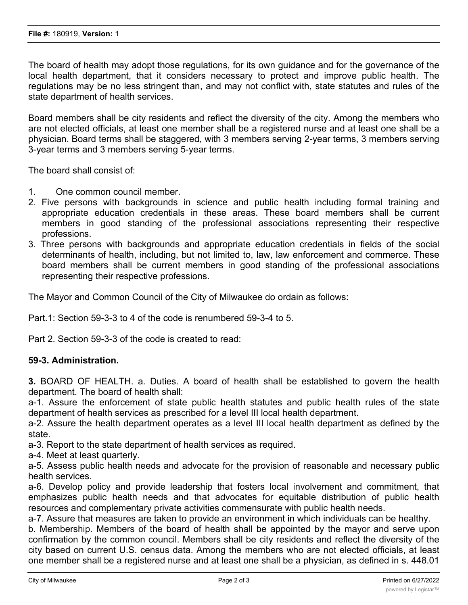The board of health may adopt those regulations, for its own guidance and for the governance of the local health department, that it considers necessary to protect and improve public health. The regulations may be no less stringent than, and may not conflict with, state statutes and rules of the state department of health services.

Board members shall be city residents and reflect the diversity of the city. Among the members who are not elected officials, at least one member shall be a registered nurse and at least one shall be a physician. Board terms shall be staggered, with 3 members serving 2-year terms, 3 members serving 3-year terms and 3 members serving 5-year terms.

The board shall consist of:

- 1. One common council member.
- 2. Five persons with backgrounds in science and public health including formal training and appropriate education credentials in these areas. These board members shall be current members in good standing of the professional associations representing their respective professions.
- 3. Three persons with backgrounds and appropriate education credentials in fields of the social determinants of health, including, but not limited to, law, law enforcement and commerce. These board members shall be current members in good standing of the professional associations representing their respective professions.

The Mayor and Common Council of the City of Milwaukee do ordain as follows:

Part.1: Section 59-3-3 to 4 of the code is renumbered 59-3-4 to 5.

Part 2. Section 59-3-3 of the code is created to read:

### **59-3. Administration.**

**3.** BOARD OF HEALTH. a. Duties. A board of health shall be established to govern the health department. The board of health shall:

a-1. Assure the enforcement of state public health statutes and public health rules of the state department of health services as prescribed for a level III local health department.

a-2. Assure the health department operates as a level III local health department as defined by the state.

a-3. Report to the state department of health services as required.

a-4. Meet at least quarterly.

a-5. Assess public health needs and advocate for the provision of reasonable and necessary public health services.

a-6. Develop policy and provide leadership that fosters local involvement and commitment, that emphasizes public health needs and that advocates for equitable distribution of public health resources and complementary private activities commensurate with public health needs.

a-7. Assure that measures are taken to provide an environment in which individuals can be healthy.

b. Membership. Members of the board of health shall be appointed by the mayor and serve upon confirmation by the common council. Members shall be city residents and reflect the diversity of the city based on current U.S. census data. Among the members who are not elected officials, at least one member shall be a registered nurse and at least one shall be a physician, as defined in s. 448.01